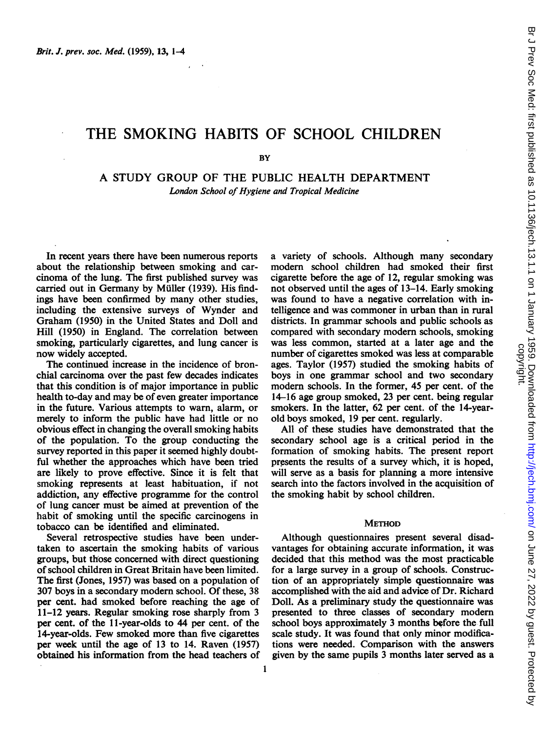# THE SMOKING HABITS OF SCHOOL CHILDREN

**BY** 

A STUDY GROUP OF THE PUBLIC HEALTH DEPARTMENT London School of Hygiene and Tropical Medicine

In recent years there have been numerous reports about the relationship between smoking and carcinoma of the lung. The first published survey was carried out in Germany by Muller (1939). His findings have been confirmed by many other studies, including the extensive surveys of Wynder and Graham (1950) in the United States and Doll and Hill (1950) in England. The correlation between smoking, particularly cigarettes, and lung cancer is now widely accepted.

The continued increase in the incidence of bronchial carcinoma over the past few decades indicates that this condition is of major importance in public health to-day and may be of even greater importance in the future. Various attempts to warn, alarm, or merely to inform the public have had little or no obvious effect in changing the overall smoking habits of the population. To the group conducting the survey reported in this paper it seemed highly doubtful whether the approaches which have been tried are likely to prove effective. Since it is felt that smoking represents at least habituation, if not addiction, any effective programme for the control of lung cancer must be aimed at prevention of the habit of smoking until the specific carcinogens in tobacco can be identified and eliminated.

Several retrospective studies have been undertaken to ascertain the smoking habits of various groups, but those concerned with direct questioning of school children in Great Britain have been limited. The first (Jones, 1957) was based on a population of 307 boys in a secondary modern school. Of these, 38 per cent. had smoked before reaching the age of 11-12 years. Regular smoking rose sharply from 3 per cent. of the 11-year-olds to 44 per cent. of the 14-year-olds. Few smoked more than five cigarettes per week until the age of 13 to 14. Raven (1957) obtained his information from the head teachers of a variety of schools. Although many secondary modern school children had smoked their first cigarette before the age of 12, regular smoking was not observed until the ages of 13-14. Early smoking was found to have a negative correlation with intelligence and was commoner in urban than in rural districts. In grammar schools and public schools as compared with secondary modern schools, smoking was less common, started at a later age and the number of cigarettes smoked was less at comparable ages. Taylor (1957) studied the smoking habits of boys in one grammar school and two secondary modern schools. In the former, 45 per cent. of the 14-16 age group smoked, 23 per cent. being regular smokers. In the latter, 62 per cent. of the 14-yearold boys smoked, 19 per cent. regularly.

All of these studies have demonstrated that the secondary school age is a critical period in the formation of smoking habits. The present report presents the results of a survey which, it is hoped, will serve as a basis for planning a more intensive search into the factors involved in the acquisition of the smoking habit by school children.

## **METHOD**

Although questionnaires present several disadvantages for obtaining accurate information, it was decided that this method was the most practicable for a large survey in a group of schools. Construction of an appropriately simple questionnaire was accomplished with the aid and advice of Dr. Richard Doll. As a preliminary study the questionnaire was presented to three classes of secondary modern school boys approximately 3 months before the full scale study. It was found that only minor modifications were needed. Comparison with the answers given by the same pupils 3 months later served as a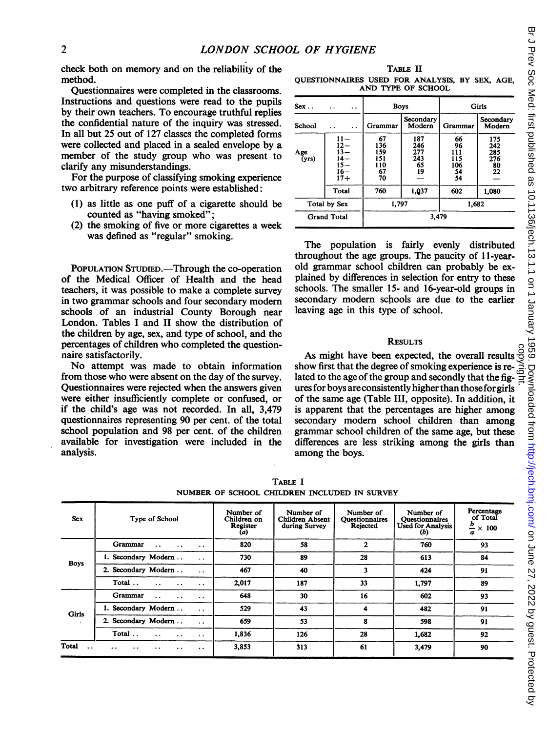check both on memory and on the reliability of the method.

Questionnaires were completed in the classrooms. Instructions and questions were read to the pupils by their own teachers. To encourage truthful replies the confidential nature of the inquiry was stressed. In all but 25 out of 127 classes the completed forms were collected and placed in a sealed envelope by a member of the study group who was present to clarify any misunderstandings.

For the purpose of classifying smoking experience two arbitrary reference points were established:

- (1) as little as one puff of a cigarette should be counted as "having smoked";
- (2) the smoking of five or more cigarettes a week was defined as "regular" smoking.

POPULATION STUDIED.-Through the co-operation of the Medical Officer of Health and the head teachers, it was possible to make a complete survey in two grammar schools and four secondary modem schools of an industrial County Borough near London. Tables <sup>I</sup> and II show the distribution of the children by age, sex, and type of school, and the percentages of children who completed the questionnaire satisfactorily.

No attempt was made to obtain information from those who were absent on the day of the survey. Questionnaires were rejected when the answers given were either insufficiently complete or confused, or if the child's age was not recorded. In all, 3,479 questionnaires representing 90 per cent. of the total school population and 98 per cent. of the children available for investigation were included in the analysis.

TABLE II

QUESTIONNAIRES USED FOR ANALYSIS, BY SEX, AGE, AND TYPE OF SCHOOL

| $Sex.$ .<br>. .<br>. . |                                                               | <b>Boys</b>                                |                                      | Girls                                     |                                      |
|------------------------|---------------------------------------------------------------|--------------------------------------------|--------------------------------------|-------------------------------------------|--------------------------------------|
| School                 | $\ddot{\phantom{0}}$                                          | Grammar                                    | Secondary<br>Modern                  | <b>Grammar</b>                            | Secondary<br>Modern                  |
| Age<br>(yrs)           | $11 -$<br>$12 -$<br>$13 -$<br>14—<br>$15 -$<br>$16-$<br>$17+$ | 67<br>136<br>159<br>151<br>110<br>67<br>70 | 187<br>246<br>277<br>243<br>65<br>19 | 66<br>96<br>111<br>115<br>106<br>54<br>54 | 175<br>242<br>285<br>276<br>80<br>22 |
|                        | Total                                                         | 760                                        | 1,037                                | 602                                       | 1.080                                |
|                        | Total by Sex                                                  | 1,797                                      |                                      | 1,682                                     |                                      |
| <b>Grand Total</b>     |                                                               | 3,479                                      |                                      |                                           |                                      |

The population is fairly evenly distributed throughout the age groups. The paucity of 11-yearold grammar school children can probably be explained by differences in selection for entry to these schools. The smaller 15- and 16-year-old groups in secondary modem schools are due to the earlier leaving age in this type of school.

## **RESULTS**

As might have been expected, the overall results show first that the degree of smoking experience is re-As might have been expected, the overall results behavior first that the degree of smoking experience is re-<br>lated to the age of the group and secondly that the figures for boys are consistently higher than thoseforgirls of the same age (Table III, opposite). In addition, it is apparent that the percentages are higher among secondary modem school children than among grammar school children of the same age, but these differences are less striking among the girls than among the boys.

|                               |                                                                               |                                             | NUMBER OF SCHOOL CHILDREN INCLUDED IN SURVEY  |                                                |                                                           |                                                                 |
|-------------------------------|-------------------------------------------------------------------------------|---------------------------------------------|-----------------------------------------------|------------------------------------------------|-----------------------------------------------------------|-----------------------------------------------------------------|
| <b>Sex</b>                    | Type of School                                                                | Number of<br>Children on<br>Register<br>(a) | Number of<br>Children Absent<br>during Survey | Number of<br><b>Ouestionnaires</b><br>Rejected | Number of<br>Questionnaires<br>Used for Analysis  <br>(b) | Percentage<br>of Total<br>≗<br>$\times$ 100<br>$\boldsymbol{a}$ |
|                               | Grammar<br>$\ddot{\phantom{a}}$<br>$\ddot{\phantom{0}}$<br>$\cdot$ .          | 820                                         | 58                                            | $\mathbf{2}$                                   | 760                                                       | 93                                                              |
| <b>Boys</b>                   | 1. Secondary Modern<br>$\cdot$ .                                              | 730                                         | 89                                            | 28                                             | 613                                                       | 84                                                              |
|                               | 2. Secondary Modern<br>$\ddot{\phantom{a}}$                                   | 467                                         | 40                                            | 3                                              | 424                                                       | 91                                                              |
|                               | Total<br>$\ddot{\phantom{0}}$<br>$\ddot{\phantom{0}}$<br>$\ddot{\phantom{0}}$ | 2,017                                       | 187                                           | 33                                             | 1,797                                                     | 89                                                              |
|                               | Grammar<br>$\ddot{\phantom{a}}$<br>. .<br>$\ddotsc$                           | 648                                         | 30                                            | 16                                             | 602                                                       | 93                                                              |
| <b>Girls</b>                  | 1. Secondary Modern<br>$\ddotsc$                                              | 529                                         | 43                                            | 4                                              | 482                                                       | 91                                                              |
|                               | 2. Secondary Modern<br>$\ddotsc$                                              | 659                                         | 53                                            | 8                                              | 598                                                       | 91                                                              |
|                               | Total<br>$\ddot{\phantom{0}}$<br>$\cdot$ .<br>$\ddot{\phantom{1}}$            | 1,836                                       | 126                                           | 28                                             | 1.682                                                     | 92                                                              |
| Total<br>$\ddot{\phantom{a}}$ | . .<br>$\cdot$ .<br>$\ddot{\phantom{0}}$<br>. .<br>. .                        | 3,853                                       | 313                                           | 61                                             | 3,479                                                     | 90                                                              |
|                               |                                                                               |                                             |                                               |                                                |                                                           |                                                                 |

TABLE I NUMBER OF SCHOOL CHILDREN INCLUDED IN SURVEY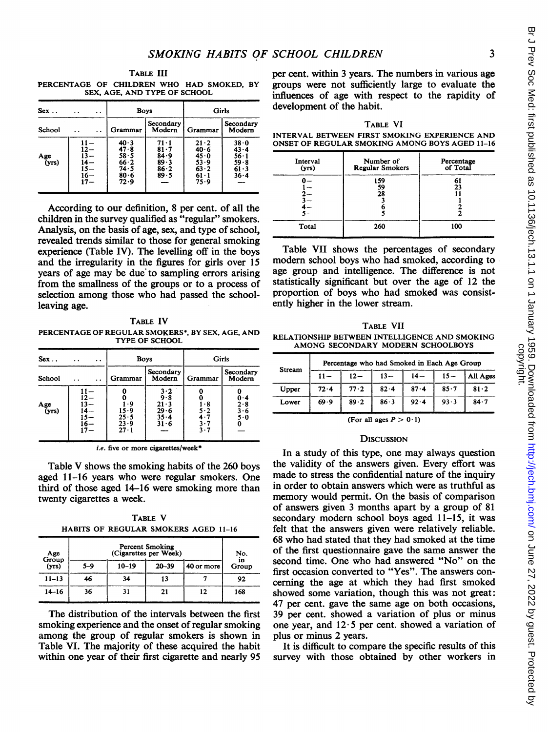TABLE III PERCENTAGE OF CHILDREN WHO HAD SMOKED, BY SEX, AGE, AND TYPE OF SCHOOL

| Sex.                              | . .<br>$\ddot{\phantom{a}}$                             | Boys                                                   |                                                    | Girls                                                      |                                                            |
|-----------------------------------|---------------------------------------------------------|--------------------------------------------------------|----------------------------------------------------|------------------------------------------------------------|------------------------------------------------------------|
| School                            |                                                         | Grammar                                                | Secondary<br>Modern                                | Grammar                                                    | Secondary<br>Modern                                        |
| $\frac{\text{Age}}{\text{(yrs)}}$ | 11 —<br>$12 -$<br>$13 -$<br>l4 —<br>Ī5—<br>16–<br>$17-$ | 40.3<br>47.8<br>58.5<br>66.2<br>74 - 5<br>80.6<br>72.9 | 71 • 1<br>81.7<br>84.9<br>$89 - 3$<br>86.2<br>89.5 | 21.2<br>40.6<br>45.0<br>53.9<br>$63 - 2$<br>61 - 1<br>75.9 | 38.0<br>$43 - 4$<br>$56-1$<br>59.8<br>$61 - 3$<br>$36 - 4$ |

According to our definition, 8 per cent. of all the children in the survey qualified as "regular" smokers. Analysis, on the basis of age, sex, and type of school, revealed trends similar to those for general smoking experience (Table IV). The levelling off in the boys and the irregularity in the figures for girls over 15 years of age may be due to sampling errors arising from the smallness of the groups or to a process of selection among those who had passed the schoolleaving age.

TABLE IV PERCENTAGE OF REGULAR SMOKERS\*, BY SEX, AGE, AND TYPE OF SCHOOL

| $Sex.$ .                          | $\ddot{\phantom{0}}$ | Boys                                   |                                                              | Girls                                           |                                 |
|-----------------------------------|----------------------|----------------------------------------|--------------------------------------------------------------|-------------------------------------------------|---------------------------------|
| School                            |                      | Grammar                                | Secondary<br>Modern                                          | Grammar                                         | Secondary<br>Modern             |
| $\frac{\text{Age}}{\text{(yrs)}}$ |                      | ٠9<br>15.9<br>25.5<br>23.9<br>$27 - 1$ | $3 \cdot 2$<br>9.8<br>$21 - 3$<br>29 - 6<br>$35 - 4$<br>31.6 | $\cdot$ 8<br>5 - 2<br>4.7<br>3.7<br>$3 \cdot 7$ | n - 4<br>2.8<br>3·6<br>5.0<br>0 |

i.e. five or more cigarettes/week

Table V shows the smoking habits of the 260 boys aged 11-16 years who were regular smokers. One third of those aged 14-16 were smoking more than twenty cigarettes a week.

TABLE V HABITS OF REGULAR SMOKERS AGED 11-16

| Age<br>Group | <b>Percent Smoking</b><br>(Cigarettes per Week) |           |           |            | No.         |
|--------------|-------------------------------------------------|-----------|-----------|------------|-------------|
| (yrs)        | $5 - 9$                                         | $10 - 19$ | $20 - 39$ | 40 or more | in<br>Group |
| $11 - 13$    | 46                                              | 34        | 13        |            | 92          |
| $14 - 16$    | 36                                              | 31        | 21        | 12         | 168         |

The distribution of the intervals between the first smoking experience and the onset of regular smoking among the group of regular smokers is shown in Table VI. The majority of these acquired the habit within one year of their first cigarette and nearly 95

per cent. within 3 years. The numbers in various age groups were not sufficiently large to evaluate the influences of age with respect to the rapidity of development of the habit.

TABLE VI

INTERVAL BETWEEN FIRST SMOKING EXPERIENCE AND ONSET OF REGULAR SMOKING AMONG BOYS AGED 11-16

| Interval<br>(yrs) | Number of<br><b>Regular Smokers</b> | Percentage<br>of Total |
|-------------------|-------------------------------------|------------------------|
|                   | 159<br>59<br>28                     | 23                     |
| Total             | 260                                 | 100                    |

Table VII shows the percentages of secondary modem school boys who had smoked, according to age group and intelligence. The difference is not statistically significant but over the age of 12 the proportion of boys who had smoked was consistently higher in the lower stream.

TABLE VII RELATIONSHIP BETWEEN INTELLIGENCE AND SMOKING AMONG SECONDARY MODERN SCHOOLBOYS

|        |        |        |        | Percentage who had Smoked in Each Age Group |          |          |
|--------|--------|--------|--------|---------------------------------------------|----------|----------|
| Stream | $11 -$ | $12 -$ | $13 -$ | $14-$                                       | $15 -$   | All Ages |
| Upper  | 72.4   | 77.2   | 82.4   | $87 - 4$                                    | $85 - 7$ | 81.2     |
| Lower  | 69.9   | 89.2   | 86.3   | 92.4                                        | 93.3     | 84.7     |

(For all ages  $P > 0.1$ )

#### **DISCUSSION**

In a study of this type, one may always question the validity of the answers given. Every effort was made to stress the confidential nature of the inquiry in order to obtain answers which were as truthful as memory would permit. On the basis of comparison of answers given 3 months apart by a group of 81 secondary modem school boys aged 11-15, it was felt that the answers given were relatively reliable. 68 who had stated that they had smoked at the time of the first questionnaire gave the same answer the second time. One who had answered "No" on the first occasion converted to "Yes". The answers concerning the age at which they had first smoked showed some variation, though this was not great: 47 per cent. gave the same age on both occasions, 39 per cent. showed a variation of plus or minus one year, and  $12.5$  per cent. showed a variation of plus or minus 2 years.

It is difficult to compare the specific results of this survey with those obtained by other workers in

3